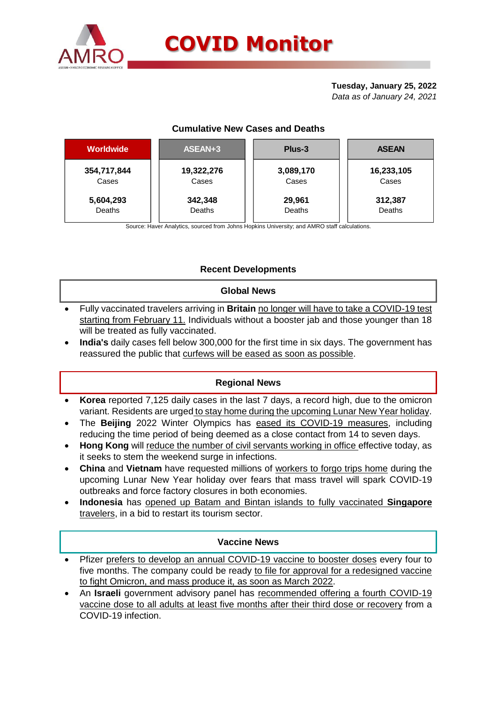

### **Tuesday, January 25, 2022** *Data as of January 24, 2021*

### **Cumulative New Cases and Deaths**

| <b>Worldwide</b> | ASEAN+3    | Plus-3    | <b>ASEAN</b> |  |  |
|------------------|------------|-----------|--------------|--|--|
| 354,717,844      | 19,322,276 | 3,089,170 | 16,233,105   |  |  |
| Cases            | Cases      | Cases     | Cases        |  |  |
| 5,604,293        | 342,348    | 29,961    | 312,387      |  |  |
| Deaths           | Deaths     | Deaths    | Deaths       |  |  |

Source: Haver Analytics, sourced from Johns Hopkins University; and AMRO staff calculations.

# **Recent Developments**

### **Global News**

- Fully vaccinated travelers arriving in **Britain** no longer will have to take a COVID-19 test starting from February 11. Individuals without a booster jab and those younger than 18 will be treated as fully vaccinated.
- **India's** daily cases fell below 300,000 for the first time in six days. The government has reassured the public that curfews will be eased as soon as possible.

### **Regional News**

- **Korea** reported 7,125 daily cases in the last 7 days, a record high, due to the omicron variant. Residents are urged to stay home during the upcoming Lunar New Year holiday.
- The **Beijing** 2022 Winter Olympics has eased its COVID-19 measures, including reducing the time period of being deemed as a close contact from 14 to seven days.
- **Hong Kong** will reduce the number of civil servants working in office effective today, as it seeks to stem the weekend surge in infections.
- **China** and **Vietnam** have requested millions of workers to forgo trips home during the upcoming Lunar New Year holiday over fears that mass travel will spark COVID-19 outbreaks and force factory closures in both economies.
- **Indonesia** has opened up Batam and Bintan islands to fully vaccinated **Singapore** travelers, in a bid to restart its tourism sector.

### **Vaccine News**

- Pfizer prefers to develop an annual COVID-19 vaccine to booster doses every four to five months. The company could be ready to file for approval for a redesigned vaccine to fight Omicron, and mass produce it, as soon as March 2022.
- An **Israeli** government advisory panel has recommended offering a fourth COVID-19 vaccine dose to all adults at least five months after their third dose or recovery from a COVID-19 infection.